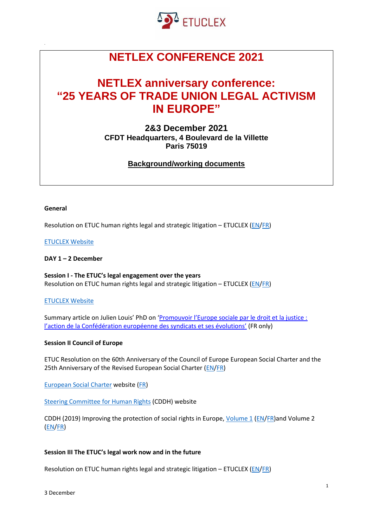

# **NETLEX CONFERENCE 2021**

## **NETLEX anniversary conference: "25 YEARS OF TRADE UNION LEGAL ACTIVISM IN EUROPE"**

**2&3 December 2021 CFDT Headquarters, 4 Boulevard de la Villette Paris 75019**

**Background/working documents**

#### **General**

Resolution on ETUC human rights legal and strategic litigation – ETUCLEX ( $EN/FR$ )

#### [ETUCLEX Website](https://eur01.safelinks.protection.outlook.com/?url=https%3A%2F%2Fetuclex.etuc.org%2F&data=04%7C01%7CSCLAUWAERT%40etuc.org%7Cebacda33ca464ebf639b08d9b34ef13b%7C7a57d45075f34a4da90dac04a367b91a%7C0%7C0%7C637737973892655497%7CUnknown%7CTWFpbGZsb3d8eyJWIjoiMC4wLjAwMDAiLCJQIjoiV2luMzIiLCJBTiI6Ik1haWwiLCJXVCI6Mn0%3D%7C3000&sdata=9Qt9kud0ttsuqojIpIwS0e3LmTtt%2BIIKuYuIjtYzDxg%3D&reserved=0)

#### **DAY 1 – 2 December**

**Session I - The ETUC's legal engagement over the years** Resolution on ETUC human rights legal and strategic litigation – ETUCLEX [\(EN/](https://eur01.safelinks.protection.outlook.com/?url=https%3A%2F%2Fwww.etuc.org%2Fen%2Fdocument%2Fresolution-etuc-human-rights-legal-and-strategic-litigation-etuclex&data=04%7C01%7CSCLAUWAERT%40etuc.org%7Cebacda33ca464ebf639b08d9b34ef13b%7C7a57d45075f34a4da90dac04a367b91a%7C0%7C0%7C637737973892655497%7CUnknown%7CTWFpbGZsb3d8eyJWIjoiMC4wLjAwMDAiLCJQIjoiV2luMzIiLCJBTiI6Ik1haWwiLCJXVCI6Mn0%3D%7C3000&sdata=KGcEX9%2Bjn1x9Of3GPyqW03upZYz5ccY2diVGeu5C6l4%3D&reserved=0)[FR\)](https://eur01.safelinks.protection.outlook.com/?url=https%3A%2F%2Fwww.etuc.org%2Ffr%2Fdocument%2Fresolution-relative-au-soutien-de-la-ces-aux-affilies-en-matiere-juridique-de-droits&data=04%7C01%7CSCLAUWAERT%40etuc.org%7Cebacda33ca464ebf639b08d9b34ef13b%7C7a57d45075f34a4da90dac04a367b91a%7C0%7C0%7C637737973892665445%7CUnknown%7CTWFpbGZsb3d8eyJWIjoiMC4wLjAwMDAiLCJQIjoiV2luMzIiLCJBTiI6Ik1haWwiLCJXVCI6Mn0%3D%7C3000&sdata=s82oAgwHPndcZig6d0TZLP7T3BJ6YcURuSHrLleQijU%3D&reserved=0)

#### [ETUCLEX Website](https://eur01.safelinks.protection.outlook.com/?url=https%3A%2F%2Fetuclex.etuc.org%2F&data=04%7C01%7CSCLAUWAERT%40etuc.org%7Cebacda33ca464ebf639b08d9b34ef13b%7C7a57d45075f34a4da90dac04a367b91a%7C0%7C0%7C637737973892665445%7CUnknown%7CTWFpbGZsb3d8eyJWIjoiMC4wLjAwMDAiLCJQIjoiV2luMzIiLCJBTiI6Ik1haWwiLCJXVCI6Mn0%3D%7C3000&sdata=pPz%2FbYj06z3WBeFLo1YKwiGGwSbhf17UvSpvkEjBqzU%3D&reserved=0)

Summary article on Julien Louis' PhD on ['Promouvoir l'Europe sociale par le droit et la justice :](https://www.cairn.info/revue-informations-sociales-2021-2-page-96.htm)  [l'action de la Confédération européenne des syndicats et ses évolutions'](https://www.cairn.info/revue-informations-sociales-2021-2-page-96.htm) (FR only)

#### **Session II Council of Europe**

ETUC Resolution on the 60th Anniversary of the Council of Europe European Social Charter and the 25th Anniversary of the Revised European Social Charter [\(EN/](https://eur01.safelinks.protection.outlook.com/?url=https%3A%2F%2Fwww.etuc.org%2Fen%2Fdocument%2Fetuc-resolution-60th-anniversary-council-europe-european-social-charter-and-25th&data=04%7C01%7CSCLAUWAERT%40etuc.org%7Cebacda33ca464ebf639b08d9b34ef13b%7C7a57d45075f34a4da90dac04a367b91a%7C0%7C0%7C637737973892675407%7CUnknown%7CTWFpbGZsb3d8eyJWIjoiMC4wLjAwMDAiLCJQIjoiV2luMzIiLCJBTiI6Ik1haWwiLCJXVCI6Mn0%3D%7C3000&sdata=Zsnm7AUGEDO6ZJMQiPa5nBPRx1E91yQEe9e2dewCXek%3D&reserved=0)[FR\)](https://eur01.safelinks.protection.outlook.com/?url=https%3A%2F%2Fwww.etuc.org%2Ffr%2Fdocument%2Fresolution-de-la-ces-loccasion-du-60e-anniversaire-de-la-charte-sociale-europeenne-du&data=04%7C01%7CSCLAUWAERT%40etuc.org%7Cebacda33ca464ebf639b08d9b34ef13b%7C7a57d45075f34a4da90dac04a367b91a%7C0%7C0%7C637737973892675407%7CUnknown%7CTWFpbGZsb3d8eyJWIjoiMC4wLjAwMDAiLCJQIjoiV2luMzIiLCJBTiI6Ik1haWwiLCJXVCI6Mn0%3D%7C3000&sdata=g6XxREFp35J8kJsRsE5g5ShYub%2FJe%2Bh3cF21knbtmEE%3D&reserved=0)

[European Social Charter](https://eur01.safelinks.protection.outlook.com/?url=https%3A%2F%2Fwww.coe.int%2Fen%2Fweb%2Feuropean-social-charter&data=04%7C01%7CSCLAUWAERT%40etuc.org%7Cebacda33ca464ebf639b08d9b34ef13b%7C7a57d45075f34a4da90dac04a367b91a%7C0%7C0%7C637737973892685357%7CUnknown%7CTWFpbGZsb3d8eyJWIjoiMC4wLjAwMDAiLCJQIjoiV2luMzIiLCJBTiI6Ik1haWwiLCJXVCI6Mn0%3D%7C3000&sdata=athgF%2Fzx1tvV6EpvqqKuVG4GWCI8Y92xZZ0kUCD5G%2Fs%3D&reserved=0) website [\(FR\)](https://eur01.safelinks.protection.outlook.com/?url=https%3A%2F%2Fwww.coe.int%2Ffr%2Fweb%2Feuropean-social-charter&data=04%7C01%7CSCLAUWAERT%40etuc.org%7Cebacda33ca464ebf639b08d9b34ef13b%7C7a57d45075f34a4da90dac04a367b91a%7C0%7C0%7C637737973892695311%7CUnknown%7CTWFpbGZsb3d8eyJWIjoiMC4wLjAwMDAiLCJQIjoiV2luMzIiLCJBTiI6Ik1haWwiLCJXVCI6Mn0%3D%7C3000&sdata=UbAQ4l33Y7gX4qqFlLmpyBPLQsxq%2FL%2FL3luH5g8DYqE%3D&reserved=0)

[Steering Committee for Human Rights](https://eur01.safelinks.protection.outlook.com/?url=https%3A%2F%2Fwww.coe.int%2Fen%2Fweb%2Fhuman-rights-intergovernmental-cooperation&data=04%7C01%7CSCLAUWAERT%40etuc.org%7Cebacda33ca464ebf639b08d9b34ef13b%7C7a57d45075f34a4da90dac04a367b91a%7C0%7C0%7C637737973892695311%7CUnknown%7CTWFpbGZsb3d8eyJWIjoiMC4wLjAwMDAiLCJQIjoiV2luMzIiLCJBTiI6Ik1haWwiLCJXVCI6Mn0%3D%7C3000&sdata=MynwwB3wy7%2FztxiKNbmg11V3IGF6zZ9qhhInbAIV15s%3D&reserved=0) (CDDH) website

CDDH (2019) Improving the protection of social rights in Europe, [Volume 1](https://eur01.safelinks.protection.outlook.com/?url=https%3A%2F%2Frm.coe.int%2Fdroits-sociaux-volume-i-eng%2F1680a0770a&data=04%7C01%7CSCLAUWAERT%40etuc.org%7Cebacda33ca464ebf639b08d9b34ef13b%7C7a57d45075f34a4da90dac04a367b91a%7C0%7C0%7C637737973892705274%7CUnknown%7CTWFpbGZsb3d8eyJWIjoiMC4wLjAwMDAiLCJQIjoiV2luMzIiLCJBTiI6Ik1haWwiLCJXVCI6Mn0%3D%7C3000&sdata=g%2BJHuq%2BYihiAx%2FrWtxa%2FDMWC4A%2F%2FHObYtWDifIaaz2w%3D&reserved=0) [\(EN](https://eur01.safelinks.protection.outlook.com/?url=https%3A%2F%2Frm.coe.int%2Fdroits-sociaux-volume-i-eng%2F1680a0770a&data=04%7C01%7CSCLAUWAERT%40etuc.org%7Cebacda33ca464ebf639b08d9b34ef13b%7C7a57d45075f34a4da90dac04a367b91a%7C0%7C0%7C637737973892705274%7CUnknown%7CTWFpbGZsb3d8eyJWIjoiMC4wLjAwMDAiLCJQIjoiV2luMzIiLCJBTiI6Ik1haWwiLCJXVCI6Mn0%3D%7C3000&sdata=g%2BJHuq%2BYihiAx%2FrWtxa%2FDMWC4A%2F%2FHObYtWDifIaaz2w%3D&reserved=0)[/FR\)](https://eur01.safelinks.protection.outlook.com/?url=https%3A%2F%2Frm.coe.int%2Fdroits-sociaux-volume-i-fra%2F1680a0770b&data=04%7C01%7CSCLAUWAERT%40etuc.org%7Cebacda33ca464ebf639b08d9b34ef13b%7C7a57d45075f34a4da90dac04a367b91a%7C0%7C0%7C637737973892715236%7CUnknown%7CTWFpbGZsb3d8eyJWIjoiMC4wLjAwMDAiLCJQIjoiV2luMzIiLCJBTiI6Ik1haWwiLCJXVCI6Mn0%3D%7C3000&sdata=IUXrdW27uw0K8gi3vtBkyeXAdtrzpGDVVCvQ4i1RAg4%3D&reserved=0)and Volume 2 [\(EN/](https://eur01.safelinks.protection.outlook.com/?url=https%3A%2F%2Frm.coe.int%2Fdroits-sociaux-volume-ii-eng%2F1680a0770c&data=04%7C01%7CSCLAUWAERT%40etuc.org%7Cebacda33ca464ebf639b08d9b34ef13b%7C7a57d45075f34a4da90dac04a367b91a%7C0%7C0%7C637737973892715236%7CUnknown%7CTWFpbGZsb3d8eyJWIjoiMC4wLjAwMDAiLCJQIjoiV2luMzIiLCJBTiI6Ik1haWwiLCJXVCI6Mn0%3D%7C3000&sdata=nWusczmx4EiG3%2BlaZhORVV%2Fv7TBDBFOYic9o8Gm8%2Bcs%3D&reserved=0)[FR\)](https://eur01.safelinks.protection.outlook.com/?url=https%3A%2F%2Frm.coe.int%2Fdroits-sociaux-volume-ii-fra%2F1680a0770d&data=04%7C01%7CSCLAUWAERT%40etuc.org%7Cebacda33ca464ebf639b08d9b34ef13b%7C7a57d45075f34a4da90dac04a367b91a%7C0%7C0%7C637737973892725187%7CUnknown%7CTWFpbGZsb3d8eyJWIjoiMC4wLjAwMDAiLCJQIjoiV2luMzIiLCJBTiI6Ik1haWwiLCJXVCI6Mn0%3D%7C3000&sdata=t5o0OMrAs2%2BYiNqYfglTBZ3zjHugHmLwJIr0asqnAqE%3D&reserved=0)

#### **Session III The ETUC's legal work now and in the future**

Resolution on ETUC human rights legal and strategic litigation – ETUCLEX [\(EN/](https://eur01.safelinks.protection.outlook.com/?url=https%3A%2F%2Fwww.etuc.org%2Fen%2Fdocument%2Fresolution-etuc-human-rights-legal-and-strategic-litigation-etuclex&data=04%7C01%7CSCLAUWAERT%40etuc.org%7Cebacda33ca464ebf639b08d9b34ef13b%7C7a57d45075f34a4da90dac04a367b91a%7C0%7C0%7C637737973892725187%7CUnknown%7CTWFpbGZsb3d8eyJWIjoiMC4wLjAwMDAiLCJQIjoiV2luMzIiLCJBTiI6Ik1haWwiLCJXVCI6Mn0%3D%7C3000&sdata=Dr8nB7MP6uQw6pOUZ0KsVt4wl%2FwEXQcr7S93DUhP5g0%3D&reserved=0)[FR\)](https://eur01.safelinks.protection.outlook.com/?url=https%3A%2F%2Fwww.etuc.org%2Ffr%2Fdocument%2Fresolution-relative-au-soutien-de-la-ces-aux-affilies-en-matiere-juridique-de-droits&data=04%7C01%7CSCLAUWAERT%40etuc.org%7Cebacda33ca464ebf639b08d9b34ef13b%7C7a57d45075f34a4da90dac04a367b91a%7C0%7C0%7C637737973892735124%7CUnknown%7CTWFpbGZsb3d8eyJWIjoiMC4wLjAwMDAiLCJQIjoiV2luMzIiLCJBTiI6Ik1haWwiLCJXVCI6Mn0%3D%7C3000&sdata=0sT6qfqwDVgNKe%2Bv%2FuiPZAN5MIhkFDdqWfWOS0vkeB0%3D&reserved=0)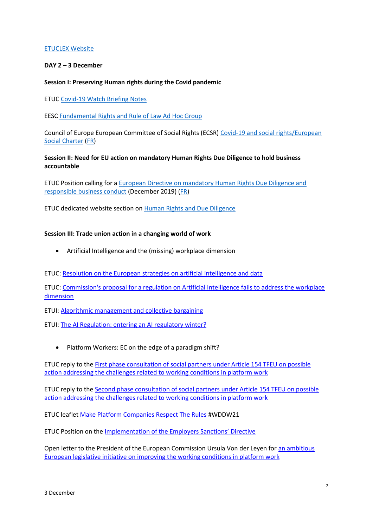## [ETUCLEX Website](https://eur01.safelinks.protection.outlook.com/?url=https%3A%2F%2Fetuclex.etuc.org%2F&data=04%7C01%7CSCLAUWAERT%40etuc.org%7Cebacda33ca464ebf639b08d9b34ef13b%7C7a57d45075f34a4da90dac04a367b91a%7C0%7C0%7C637737973892735124%7CUnknown%7CTWFpbGZsb3d8eyJWIjoiMC4wLjAwMDAiLCJQIjoiV2luMzIiLCJBTiI6Ik1haWwiLCJXVCI6Mn0%3D%7C3000&sdata=NtcxdQrco%2FRgNToh4qrT95EXV7VcGJVN27AezzulobA%3D&reserved=0)

## **DAY 2 – 3 December**

## **Session I: Preserving Human rights during the Covid pandemic**

ETUC [Covid-19 Watch Briefing Notes](https://eur01.safelinks.protection.outlook.com/?url=https%3A%2F%2Fwww.etuc.org%2Fen%2Fpublication%2Fcovid-19-watch-etuc-briefing-notes&data=04%7C01%7CSCLAUWAERT%40etuc.org%7Cebacda33ca464ebf639b08d9b34ef13b%7C7a57d45075f34a4da90dac04a367b91a%7C0%7C0%7C637737973892745079%7CUnknown%7CTWFpbGZsb3d8eyJWIjoiMC4wLjAwMDAiLCJQIjoiV2luMzIiLCJBTiI6Ik1haWwiLCJXVCI6Mn0%3D%7C3000&sdata=duCp8APBni70hYBZdv4vQAn7z71h0Vmkq%2FdNE1Jc5BA%3D&reserved=0)

EESC [Fundamental Rights and Rule of Law Ad Hoc Group](https://eur01.safelinks.protection.outlook.com/?url=https%3A%2F%2Fwww.eesc.europa.eu%2Fen%2Fsections-other-bodies%2Fother%2Fgroup-fundamental-rights-and-rule-law%2Fnews&data=04%7C01%7CSCLAUWAERT%40etuc.org%7Cebacda33ca464ebf639b08d9b34ef13b%7C7a57d45075f34a4da90dac04a367b91a%7C0%7C0%7C637737973892755041%7CUnknown%7CTWFpbGZsb3d8eyJWIjoiMC4wLjAwMDAiLCJQIjoiV2luMzIiLCJBTiI6Ik1haWwiLCJXVCI6Mn0%3D%7C3000&sdata=q1J6eWYTjX4dyyFoUkFJqyaRUjaXV4wQx0oaI9AJVYI%3D&reserved=0)

Council of Europe European Committee of Social Rights (ECSR) [Covid-19 and social rights/European](https://eur01.safelinks.protection.outlook.com/?url=https%3A%2F%2Fwww.coe.int%2Fen%2Fweb%2Feuropean-social-charter%2Fsocial-rights-in-times-of-pandemic&data=04%7C01%7CSCLAUWAERT%40etuc.org%7Cebacda33ca464ebf639b08d9b34ef13b%7C7a57d45075f34a4da90dac04a367b91a%7C0%7C0%7C637737973892755041%7CUnknown%7CTWFpbGZsb3d8eyJWIjoiMC4wLjAwMDAiLCJQIjoiV2luMzIiLCJBTiI6Ik1haWwiLCJXVCI6Mn0%3D%7C3000&sdata=fi3Aqn7txD1UmbSukkQusKTP%2FFZXS2HFJf4iSlPNR6s%3D&reserved=0)  [Social Charter](https://eur01.safelinks.protection.outlook.com/?url=https%3A%2F%2Fwww.coe.int%2Fen%2Fweb%2Feuropean-social-charter%2Fsocial-rights-in-times-of-pandemic&data=04%7C01%7CSCLAUWAERT%40etuc.org%7Cebacda33ca464ebf639b08d9b34ef13b%7C7a57d45075f34a4da90dac04a367b91a%7C0%7C0%7C637737973892755041%7CUnknown%7CTWFpbGZsb3d8eyJWIjoiMC4wLjAwMDAiLCJQIjoiV2luMzIiLCJBTiI6Ik1haWwiLCJXVCI6Mn0%3D%7C3000&sdata=fi3Aqn7txD1UmbSukkQusKTP%2FFZXS2HFJf4iSlPNR6s%3D&reserved=0) [\(FR\)](https://eur01.safelinks.protection.outlook.com/?url=https%3A%2F%2Fwww.coe.int%2Ffr%2Fweb%2Feuropean-social-charter%2Fsocial-rights-in-times-of-pandemic&data=04%7C01%7CSCLAUWAERT%40etuc.org%7Cebacda33ca464ebf639b08d9b34ef13b%7C7a57d45075f34a4da90dac04a367b91a%7C0%7C0%7C637737973892755041%7CUnknown%7CTWFpbGZsb3d8eyJWIjoiMC4wLjAwMDAiLCJQIjoiV2luMzIiLCJBTiI6Ik1haWwiLCJXVCI6Mn0%3D%7C3000&sdata=vXnqyXwhIWuZdeyXhcmkMX3o22x4JHkLK5fIVGfRt5g%3D&reserved=0)

## **Session II: Need for EU action on mandatory Human Rights Due Diligence to hold business accountable**

ETUC Position calling for a [European Directive on mandatory Human Rights Due Diligence and](https://eur01.safelinks.protection.outlook.com/?url=https%3A%2F%2Fwww.etuc.org%2Fen%2Fdocument%2Fetuc-position-european-directive-mandatory-human-rights-due-diligence-and-responsible&data=04%7C01%7CSCLAUWAERT%40etuc.org%7Cebacda33ca464ebf639b08d9b34ef13b%7C7a57d45075f34a4da90dac04a367b91a%7C0%7C0%7C637737973892764993%7CUnknown%7CTWFpbGZsb3d8eyJWIjoiMC4wLjAwMDAiLCJQIjoiV2luMzIiLCJBTiI6Ik1haWwiLCJXVCI6Mn0%3D%7C3000&sdata=%2BdP2PlT9y5BO%2By0WZ6%2B98N1XPC%2Fyp1BpoitJHmRx6w8%3D&reserved=0)  [responsible business conduct](https://eur01.safelinks.protection.outlook.com/?url=https%3A%2F%2Fwww.etuc.org%2Fen%2Fdocument%2Fetuc-position-european-directive-mandatory-human-rights-due-diligence-and-responsible&data=04%7C01%7CSCLAUWAERT%40etuc.org%7Cebacda33ca464ebf639b08d9b34ef13b%7C7a57d45075f34a4da90dac04a367b91a%7C0%7C0%7C637737973892764993%7CUnknown%7CTWFpbGZsb3d8eyJWIjoiMC4wLjAwMDAiLCJQIjoiV2luMzIiLCJBTiI6Ik1haWwiLCJXVCI6Mn0%3D%7C3000&sdata=%2BdP2PlT9y5BO%2By0WZ6%2B98N1XPC%2Fyp1BpoitJHmRx6w8%3D&reserved=0) (December 2019) [\(FR\)](https://eur01.safelinks.protection.outlook.com/?url=https%3A%2F%2Fwww.etuc.org%2Ffr%2Fdocument%2Fposition-de-la-ces-pour-une-directive-europeenne-sur-le-devoir-de-vigilance-en-matiere-de&data=04%7C01%7CSCLAUWAERT%40etuc.org%7Cebacda33ca464ebf639b08d9b34ef13b%7C7a57d45075f34a4da90dac04a367b91a%7C0%7C0%7C637737973892764993%7CUnknown%7CTWFpbGZsb3d8eyJWIjoiMC4wLjAwMDAiLCJQIjoiV2luMzIiLCJBTiI6Ik1haWwiLCJXVCI6Mn0%3D%7C3000&sdata=90%2B4C2%2FxMZD6MyTA1KJQg330C2k4iOlcW1FYkw6Jzpc%3D&reserved=0)

ETUC dedicated website section on [Human Rights and Due Diligence](https://eur01.safelinks.protection.outlook.com/?url=https%3A%2F%2Fwww.etuc.org%2Fen%2Ftime-act-human-rights-due-diligence-and-responsible-business-conduct&data=04%7C01%7CSCLAUWAERT%40etuc.org%7Cebacda33ca464ebf639b08d9b34ef13b%7C7a57d45075f34a4da90dac04a367b91a%7C0%7C0%7C637737973892774997%7CUnknown%7CTWFpbGZsb3d8eyJWIjoiMC4wLjAwMDAiLCJQIjoiV2luMzIiLCJBTiI6Ik1haWwiLCJXVCI6Mn0%3D%7C3000&sdata=tIB1oNYqSqSDsJr%2Bt6uAcvTMhQVDL7ft%2FqndXFKXh6A%3D&reserved=0)

## **Session III: Trade union action in a changing world of work**

• Artificial Intelligence and the (missing) workplace dimension

ETUC: [Resolution on the European strategies on artificial intelligence and data](https://eur01.safelinks.protection.outlook.com/?url=https%3A%2F%2Fwww.etuc.org%2Fsites%2Fdefault%2Ffiles%2Fdocument%2Ffile%2F2020-07%2FAdopted%2520-%2520ETUC%2520resolution%2520on%2520%2520the%2520European%2520strategies%2520on%2520artificial%2520intelligence%2520and%2520data%2520-%2520EN.pdf&data=04%7C01%7CSCLAUWAERT%40etuc.org%7C077eb46aae3f49bf628d08d9b41c741c%7C7a57d45075f34a4da90dac04a367b91a%7C0%7C0%7C637738856582367514%7CUnknown%7CTWFpbGZsb3d8eyJWIjoiMC4wLjAwMDAiLCJQIjoiV2luMzIiLCJBTiI6Ik1haWwiLCJXVCI6Mn0%3D%7C3000&sdata=1FxbxFWFcRyOmLqzveosRttdMQmPmjUdGDM5jcZOE7Q%3D&reserved=0)

ETUC: [Commission's proposal for a regulation on Artificial Intelligence fails to address the workplace](https://eur01.safelinks.protection.outlook.com/?url=https%3A%2F%2Fwww.etuc.org%2Fen%2Fdocument%2Fcommissions-proposal-regulation-artificial-intelligence-fails-address-workplace-dimension&data=04%7C01%7CSCLAUWAERT%40etuc.org%7C077eb46aae3f49bf628d08d9b41c741c%7C7a57d45075f34a4da90dac04a367b91a%7C0%7C0%7C637738856582377474%7CUnknown%7CTWFpbGZsb3d8eyJWIjoiMC4wLjAwMDAiLCJQIjoiV2luMzIiLCJBTiI6Ik1haWwiLCJXVCI6Mn0%3D%7C3000&sdata=6qJ%2Fq823I2VTEAlCXiWbcEdNNzG3drRnSkStIl%2F%2BGO4%3D&reserved=0)  [dimension](https://eur01.safelinks.protection.outlook.com/?url=https%3A%2F%2Fwww.etuc.org%2Fen%2Fdocument%2Fcommissions-proposal-regulation-artificial-intelligence-fails-address-workplace-dimension&data=04%7C01%7CSCLAUWAERT%40etuc.org%7C077eb46aae3f49bf628d08d9b41c741c%7C7a57d45075f34a4da90dac04a367b91a%7C0%7C0%7C637738856582377474%7CUnknown%7CTWFpbGZsb3d8eyJWIjoiMC4wLjAwMDAiLCJQIjoiV2luMzIiLCJBTiI6Ik1haWwiLCJXVCI6Mn0%3D%7C3000&sdata=6qJ%2Fq823I2VTEAlCXiWbcEdNNzG3drRnSkStIl%2F%2BGO4%3D&reserved=0)

ETUI: [Algorithmic management and collective bargaining](https://eur01.safelinks.protection.outlook.com/?url=https%3A%2F%2Fwww.etui.org%2Fsites%2Fdefault%2Ffiles%2F2021-05%2FAlgorithmic%2520management%2520and%2520collective%2520bargaining-web-2021.pdf&data=04%7C01%7CSCLAUWAERT%40etuc.org%7C077eb46aae3f49bf628d08d9b41c741c%7C7a57d45075f34a4da90dac04a367b91a%7C0%7C0%7C637738856582387427%7CUnknown%7CTWFpbGZsb3d8eyJWIjoiMC4wLjAwMDAiLCJQIjoiV2luMzIiLCJBTiI6Ik1haWwiLCJXVCI6Mn0%3D%7C3000&sdata=vUpmrMx6wbWJw1sBQEKi2PZ00foIlqVlQKaWVcy8Ou0%3D&reserved=0)

ETUI: [The AI Regulation: entering an AI regulatory winter?](https://eur01.safelinks.protection.outlook.com/?url=https%3A%2F%2Fwww.etui.org%2Fsites%2Fdefault%2Ffiles%2F2021-06%2FThe%2520AI%2520Regulation.%2520Entering%2520an%2520AI%2520regulatory%2520winter_2021.pdf&data=04%7C01%7CSCLAUWAERT%40etuc.org%7C077eb46aae3f49bf628d08d9b41c741c%7C7a57d45075f34a4da90dac04a367b91a%7C0%7C0%7C637738856582387427%7CUnknown%7CTWFpbGZsb3d8eyJWIjoiMC4wLjAwMDAiLCJQIjoiV2luMzIiLCJBTiI6Ik1haWwiLCJXVCI6Mn0%3D%7C3000&sdata=kPldHybUlFQvOa8B7uF69RHy%2BToC71K5tfdSFYiyu6c%3D&reserved=0)

• Platform Workers: EC on the edge of a paradigm shift?

ETUC reply to th[e First phase consultation of social partners under Article 154 TFEU on possible](https://www.etuc.org/en/document/etuc-reply-first-phase-consultation-social-partners-under-article-154-tfeu-possible-0)  [action addressing the challenges related to working conditions](https://www.etuc.org/en/document/etuc-reply-first-phase-consultation-social-partners-under-article-154-tfeu-possible-0) in platform work

ETUC reply to th[e Second phase consultation of social partners under Article 154 TFEU on possible](https://www.etuc.org/en/document/etuc-reply-second-phase-consultation-social-partners-under-article-154-tfeu-possible)  [action addressing the challenges related to working conditions in platform work](https://www.etuc.org/en/document/etuc-reply-second-phase-consultation-social-partners-under-article-154-tfeu-possible)

ETUC leaflet [Make Platform Companies Respect The Rules](https://www.etuc.org/en/publication/make-platform-companies-respect-rules-wddw21) #WDDW21

ETUC Position on the [Implementation of the Employers Sanctions' Directive](https://www.etuc.org/en/document/etuc-position-implementation-employers-sanctions-directive)

Open letter to the President of the European Commission Ursula Von der Leyen for [an ambitious](https://www.etuc.org/en/document/open-letter-president-european-commission-ursula-von-der-leyen-ambitious-european)  [European legislative initiative on improving the working conditions in platform work](https://www.etuc.org/en/document/open-letter-president-european-commission-ursula-von-der-leyen-ambitious-european)